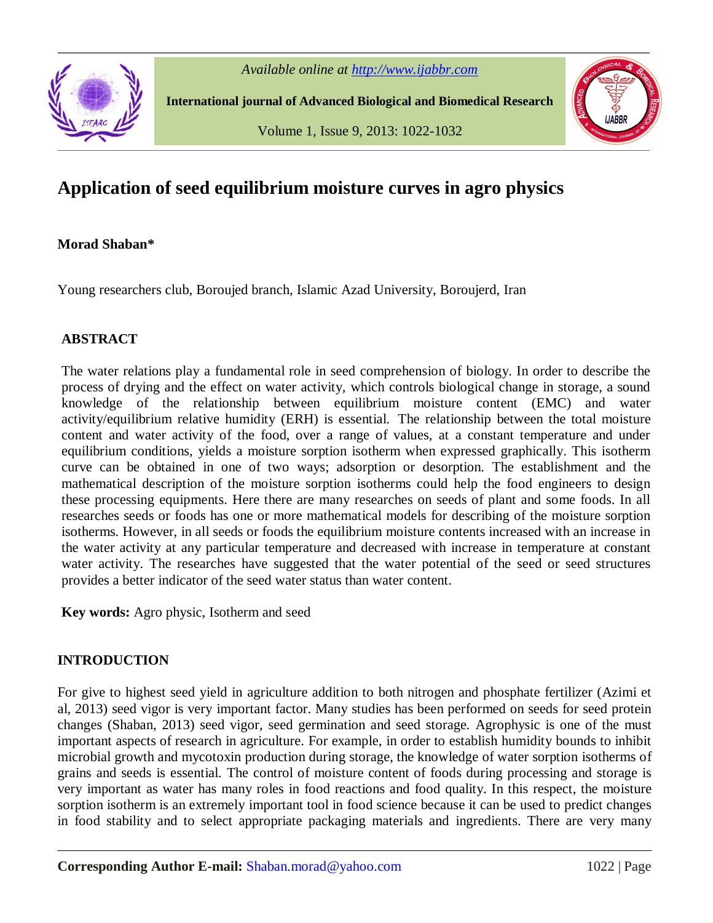

*Available online at http://www.ijabbr.com*

**International journal of Advanced Biological and Biomedical Research**

Volume 1, Issue 9, 2013: 1022-1032



# **Application of seed equilibrium moisture curves in agro physics**

# **Morad Shaban\***

Young researchers club, Boroujed branch, Islamic Azad University, Boroujerd, Iran

# **ABSTRACT**

The water relations play a fundamental role in seed comprehension of biology. In order to describe the process of drying and the effect on water activity, which controls biological change in storage, a sound knowledge of the relationship between equilibrium moisture content (EMC) and water activity/equilibrium relative humidity (ERH) is essential. The relationship between the total moisture content and water activity of the food, over a range of values, at a constant temperature and under equilibrium conditions, yields a moisture sorption isotherm when expressed graphically. This isotherm curve can be obtained in one of two ways; adsorption or desorption. The establishment and the mathematical description of the moisture sorption isotherms could help the food engineers to design these processing equipments. Here there are many researches on seeds of plant and some foods. In all researches seeds or foods has one or more mathematical models for describing of the moisture sorption isotherms. However, in all seeds or foods the equilibrium moisture contents increased with an increase in the water activity at any particular temperature and decreased with increase in temperature at constant water activity. The researches have suggested that the water potential of the seed or seed structures provides a better indicator of the seed water status than water content.

**Key words:** Agro physic, Isotherm and seed

# **INTRODUCTION**

For give to highest seed yield in agriculture addition to both nitrogen and phosphate fertilizer (Azimi et al, 2013) seed vigor is very important factor. Many studies has been performed on seeds for seed protein changes (Shaban, 2013) seed vigor, seed germination and seed storage. Agrophysic is one of the must important aspects of research in agriculture. For example, in order to establish humidity bounds to inhibit microbial growth and mycotoxin production during storage, the knowledge of water sorption isotherms of grains and seeds is essential. The control of moisture content of foods during processing and storage is very important as water has many roles in food reactions and food quality. In this respect, the moisture sorption isotherm is an extremely important tool in food science because it can be used to predict changes in food stability and to select appropriate packaging materials and ingredients. There are very many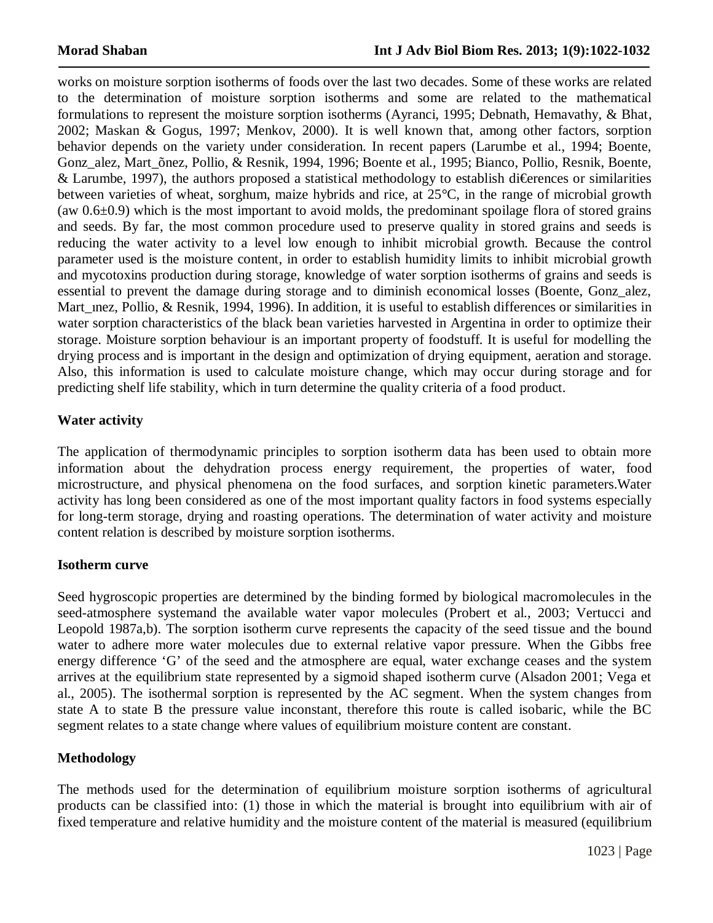works on moisture sorption isotherms of foods over the last two decades. Some of these works are related to the determination of moisture sorption isotherms and some are related to the mathematical formulations to represent the moisture sorption isotherms (Ayranci, 1995; Debnath, Hemavathy, & Bhat, 2002; Maskan & Gogus, 1997; Menkov, 2000). It is well known that, among other factors, sorption behavior depends on the variety under consideration. In recent papers (Larumbe et al., 1994; Boente, Gonz alez, Mart õnez, Pollio, & Resnik, 1994, 1996; Boente et al., 1995; Bianco, Pollio, Resnik, Boente, & Larumbe, 1997), the authors proposed a statistical methodology to establish di€erences or similarities between varieties of wheat, sorghum, maize hybrids and rice, at 25°C, in the range of microbial growth (aw  $0.6\pm0.9$ ) which is the most important to avoid molds, the predominant spoilage flora of stored grains and seeds. By far, the most common procedure used to preserve quality in stored grains and seeds is reducing the water activity to a level low enough to inhibit microbial growth. Because the control parameter used is the moisture content, in order to establish humidity limits to inhibit microbial growth and mycotoxins production during storage, knowledge of water sorption isotherms of grains and seeds is essential to prevent the damage during storage and to diminish economical losses (Boente, Gonz\_alez, Mart mez, Pollio, & Resnik, 1994, 1996). In addition, it is useful to establish differences or similarities in water sorption characteristics of the black bean varieties harvested in Argentina in order to optimize their storage. Moisture sorption behaviour is an important property of foodstuff. It is useful for modelling the drying process and is important in the design and optimization of drying equipment, aeration and storage. Also, this information is used to calculate moisture change, which may occur during storage and for predicting shelf life stability, which in turn determine the quality criteria of a food product.

# **Water activity**

The application of thermodynamic principles to sorption isotherm data has been used to obtain more information about the dehydration process energy requirement, the properties of water, food microstructure, and physical phenomena on the food surfaces, and sorption kinetic parameters.Water activity has long been considered as one of the most important quality factors in food systems especially for long-term storage, drying and roasting operations. The determination of water activity and moisture content relation is described by moisture sorption isotherms.

#### **Isotherm curve**

Seed hygroscopic properties are determined by the binding formed by biological macromolecules in the seed-atmosphere systemand the available water vapor molecules (Probert et al., 2003; Vertucci and Leopold 1987a,b). The sorption isotherm curve represents the capacity of the seed tissue and the bound water to adhere more water molecules due to external relative vapor pressure. When the Gibbs free energy difference 'G' of the seed and the atmosphere are equal, water exchange ceases and the system arrives at the equilibrium state represented by a sigmoid shaped isotherm curve (Alsadon 2001; Vega et al., 2005). The isothermal sorption is represented by the AC segment. When the system changes from state A to state B the pressure value inconstant, therefore this route is called isobaric, while the BC segment relates to a state change where values of equilibrium moisture content are constant.

# **Methodology**

The methods used for the determination of equilibrium moisture sorption isotherms of agricultural products can be classified into: (1) those in which the material is brought into equilibrium with air of fixed temperature and relative humidity and the moisture content of the material is measured (equilibrium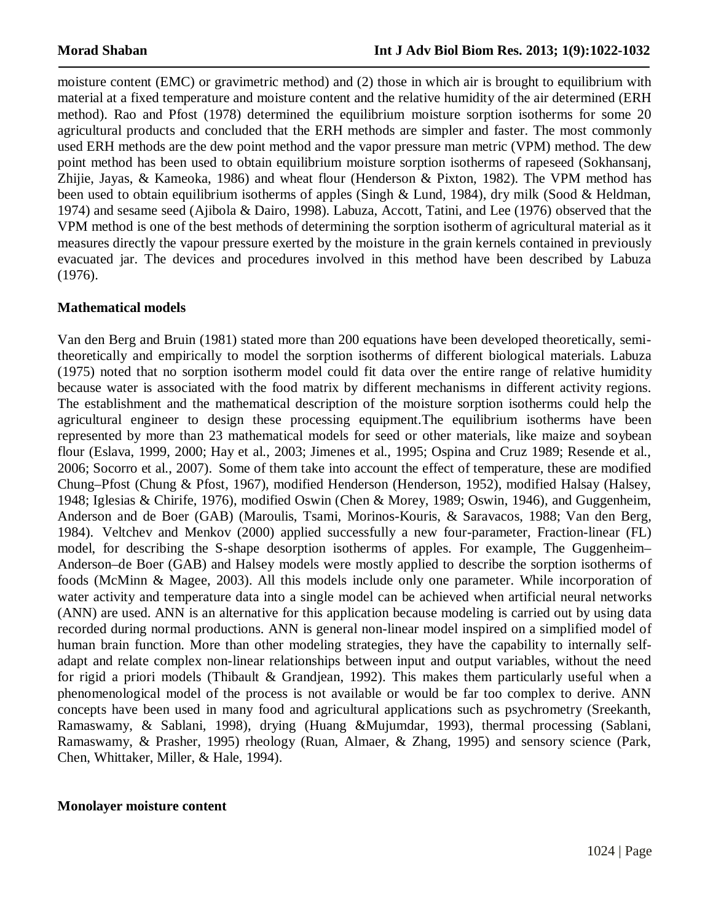moisture content (EMC) or gravimetric method) and (2) those in which air is brought to equilibrium with material at a fixed temperature and moisture content and the relative humidity of the air determined (ERH method). Rao and Pfost (1978) determined the equilibrium moisture sorption isotherms for some 20 agricultural products and concluded that the ERH methods are simpler and faster. The most commonly used ERH methods are the dew point method and the vapor pressure man metric (VPM) method. The dew point method has been used to obtain equilibrium moisture sorption isotherms of rapeseed (Sokhansanj, Zhijie, Jayas, & Kameoka, 1986) and wheat flour (Henderson & Pixton, 1982). The VPM method has been used to obtain equilibrium isotherms of apples (Singh & Lund, 1984), dry milk (Sood & Heldman, 1974) and sesame seed (Ajibola & Dairo, 1998). Labuza, Accott, Tatini, and Lee (1976) observed that the VPM method is one of the best methods of determining the sorption isotherm of agricultural material as it measures directly the vapour pressure exerted by the moisture in the grain kernels contained in previously evacuated jar. The devices and procedures involved in this method have been described by Labuza (1976).

# **Mathematical models**

Van den Berg and Bruin (1981) stated more than 200 equations have been developed theoretically, semitheoretically and empirically to model the sorption isotherms of different biological materials. Labuza (1975) noted that no sorption isotherm model could fit data over the entire range of relative humidity because water is associated with the food matrix by different mechanisms in different activity regions. The establishment and the mathematical description of the moisture sorption isotherms could help the agricultural engineer to design these processing equipment.The equilibrium isotherms have been represented by more than 23 mathematical models for seed or other materials, like maize and soybean flour (Eslava, 1999, 2000; Hay et al., 2003; Jimenes et al., 1995; Ospina and Cruz 1989; Resende et al., 2006; Socorro et al., 2007). Some of them take into account the effect of temperature, these are modified Chung–Pfost (Chung & Pfost, 1967), modified Henderson (Henderson, 1952), modified Halsay (Halsey, 1948; Iglesias & Chirife, 1976), modified Oswin (Chen & Morey, 1989; Oswin, 1946), and Guggenheim, Anderson and de Boer (GAB) (Maroulis, Tsami, Morinos-Kouris, & Saravacos, 1988; Van den Berg, 1984). Veltchev and Menkov (2000) applied successfully a new four-parameter, Fraction-linear (FL) model, for describing the S-shape desorption isotherms of apples. For example, The Guggenheim– Anderson–de Boer (GAB) and Halsey models were mostly applied to describe the sorption isotherms of foods (McMinn & Magee, 2003). All this models include only one parameter. While incorporation of water activity and temperature data into a single model can be achieved when artificial neural networks (ANN) are used. ANN is an alternative for this application because modeling is carried out by using data recorded during normal productions. ANN is general non-linear model inspired on a simplified model of human brain function. More than other modeling strategies, they have the capability to internally selfadapt and relate complex non-linear relationships between input and output variables, without the need for rigid a priori models (Thibault & Grandjean, 1992). This makes them particularly useful when a phenomenological model of the process is not available or would be far too complex to derive. ANN concepts have been used in many food and agricultural applications such as psychrometry (Sreekanth, Ramaswamy, & Sablani, 1998), drying (Huang &Mujumdar, 1993), thermal processing (Sablani, Ramaswamy, & Prasher, 1995) rheology (Ruan, Almaer, & Zhang, 1995) and sensory science (Park, Chen, Whittaker, Miller, & Hale, 1994).

#### **Monolayer moisture content**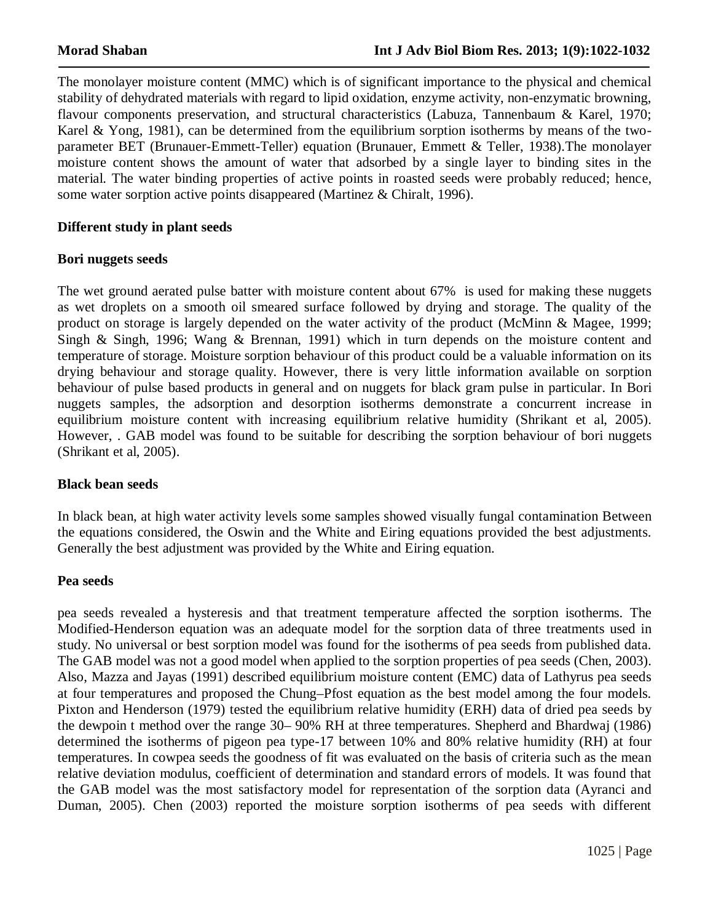The monolayer moisture content (MMC) which is of significant importance to the physical and chemical stability of dehydrated materials with regard to lipid oxidation, enzyme activity, non-enzymatic browning, flavour components preservation, and structural characteristics (Labuza, Tannenbaum & Karel, 1970; Karel & Yong, 1981), can be determined from the equilibrium sorption isotherms by means of the twoparameter BET (Brunauer-Emmett-Teller) equation (Brunauer, Emmett & Teller, 1938).The monolayer moisture content shows the amount of water that adsorbed by a single layer to binding sites in the material. The water binding properties of active points in roasted seeds were probably reduced; hence, some water sorption active points disappeared (Martinez & Chiralt, 1996).

## **Different study in plant seeds**

#### **Bori nuggets seeds**

The wet ground aerated pulse batter with moisture content about 67% is used for making these nuggets as wet droplets on a smooth oil smeared surface followed by drying and storage. The quality of the product on storage is largely depended on the water activity of the product (McMinn & Magee, 1999; Singh & Singh, 1996; Wang & Brennan, 1991) which in turn depends on the moisture content and temperature of storage. Moisture sorption behaviour of this product could be a valuable information on its drying behaviour and storage quality. However, there is very little information available on sorption behaviour of pulse based products in general and on nuggets for black gram pulse in particular. In Bori nuggets samples, the adsorption and desorption isotherms demonstrate a concurrent increase in equilibrium moisture content with increasing equilibrium relative humidity (Shrikant et al, 2005). However, . GAB model was found to be suitable for describing the sorption behaviour of bori nuggets (Shrikant et al, 2005).

#### **Black bean seeds**

In black bean, at high water activity levels some samples showed visually fungal contamination Between the equations considered, the Oswin and the White and Eiring equations provided the best adjustments. Generally the best adjustment was provided by the White and Eiring equation.

#### **Pea seeds**

pea seeds revealed a hysteresis and that treatment temperature affected the sorption isotherms. The Modified-Henderson equation was an adequate model for the sorption data of three treatments used in study. No universal or best sorption model was found for the isotherms of pea seeds from published data. The GAB model was not a good model when applied to the sorption properties of pea seeds (Chen, 2003). Also, Mazza and Jayas (1991) described equilibrium moisture content (EMC) data of Lathyrus pea seeds at four temperatures and proposed the Chung–Pfost equation as the best model among the four models. Pixton and Henderson (1979) tested the equilibrium relative humidity (ERH) data of dried pea seeds by the dewpoin t method over the range 30– 90% RH at three temperatures. Shepherd and Bhardwaj (1986) determined the isotherms of pigeon pea type-17 between 10% and 80% relative humidity (RH) at four temperatures. In cowpea seeds the goodness of fit was evaluated on the basis of criteria such as the mean relative deviation modulus, coefficient of determination and standard errors of models. It was found that the GAB model was the most satisfactory model for representation of the sorption data (Ayranci and Duman, 2005). Chen (2003) reported the moisture sorption isotherms of pea seeds with different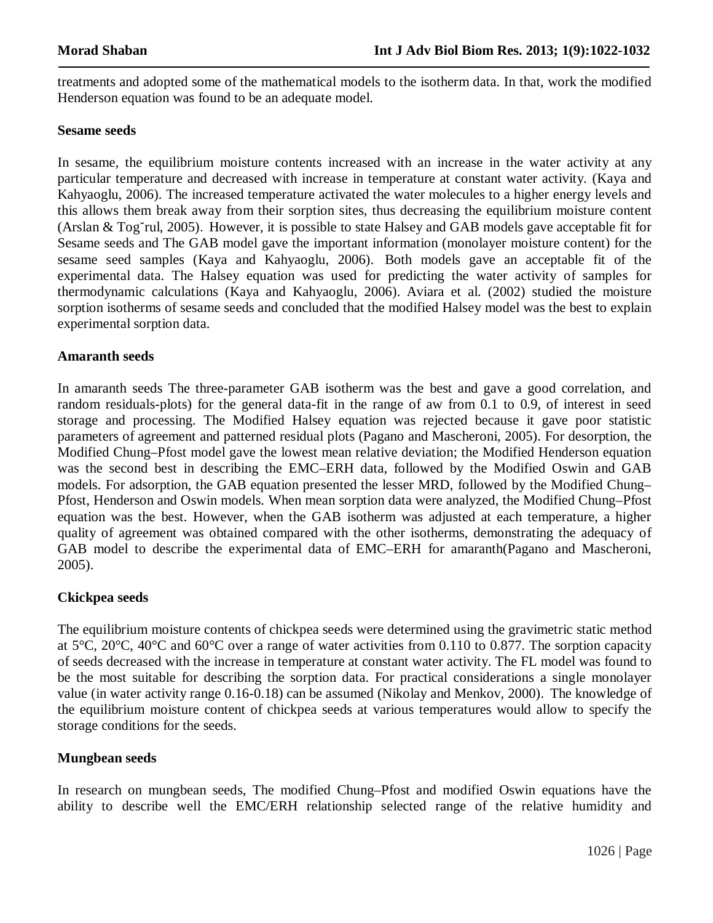treatments and adopted some of the mathematical models to the isotherm data. In that, work the modified Henderson equation was found to be an adequate model.

#### **Sesame seeds**

In sesame, the equilibrium moisture contents increased with an increase in the water activity at any particular temperature and decreased with increase in temperature at constant water activity. (Kaya and Kahyaoglu, 2006). The increased temperature activated the water molecules to a higher energy levels and this allows them break away from their sorption sites, thus decreasing the equilibrium moisture content (Arslan & Tog˘rul, 2005). However, it is possible to state Halsey and GAB models gave acceptable fit for Sesame seeds and The GAB model gave the important information (monolayer moisture content) for the sesame seed samples (Kaya and Kahyaoglu, 2006). Both models gave an acceptable fit of the experimental data. The Halsey equation was used for predicting the water activity of samples for thermodynamic calculations (Kaya and Kahyaoglu, 2006). Aviara et al. (2002) studied the moisture sorption isotherms of sesame seeds and concluded that the modified Halsey model was the best to explain experimental sorption data.

#### **Amaranth seeds**

In amaranth seeds The three-parameter GAB isotherm was the best and gave a good correlation, and random residuals-plots) for the general data-fit in the range of aw from 0.1 to 0.9, of interest in seed storage and processing. The Modified Halsey equation was rejected because it gave poor statistic parameters of agreement and patterned residual plots (Pagano and Mascheroni, 2005). For desorption, the Modified Chung–Pfost model gave the lowest mean relative deviation; the Modified Henderson equation was the second best in describing the EMC–ERH data, followed by the Modified Oswin and GAB models. For adsorption, the GAB equation presented the lesser MRD, followed by the Modified Chung– Pfost, Henderson and Oswin models. When mean sorption data were analyzed, the Modified Chung–Pfost equation was the best. However, when the GAB isotherm was adjusted at each temperature, a higher quality of agreement was obtained compared with the other isotherms, demonstrating the adequacy of GAB model to describe the experimental data of EMC–ERH for amaranth(Pagano and Mascheroni, 2005).

#### **Ckickpea seeds**

The equilibrium moisture contents of chickpea seeds were determined using the gravimetric static method at 5°C, 20°C, 40°C and 60°C over a range of water activities from 0.110 to 0.877. The sorption capacity of seeds decreased with the increase in temperature at constant water activity. The FL model was found to be the most suitable for describing the sorption data. For practical considerations a single monolayer value (in water activity range 0.16-0.18) can be assumed (Nikolay and Menkov, 2000). The knowledge of the equilibrium moisture content of chickpea seeds at various temperatures would allow to specify the storage conditions for the seeds.

#### **Mungbean seeds**

In research on mungbean seeds, The modified Chung–Pfost and modified Oswin equations have the ability to describe well the EMC/ERH relationship selected range of the relative humidity and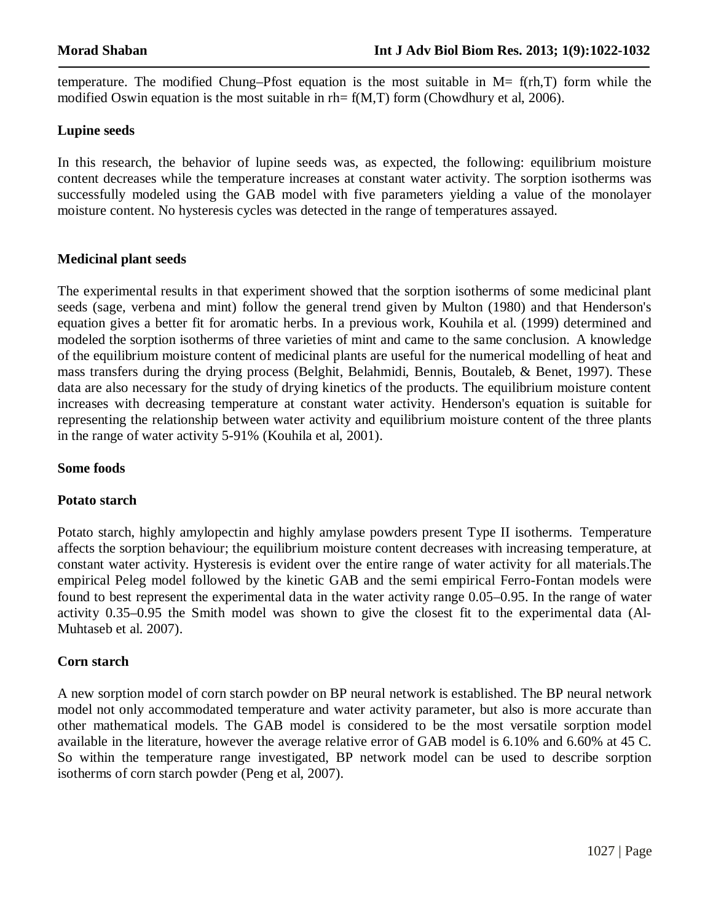temperature. The modified Chung–Pfost equation is the most suitable in  $M = f(rh,T)$  form while the modified Oswin equation is the most suitable in rh=  $f(M,T)$  form (Chowdhury et al, 2006).

### **Lupine seeds**

In this research, the behavior of lupine seeds was, as expected, the following: equilibrium moisture content decreases while the temperature increases at constant water activity. The sorption isotherms was successfully modeled using the GAB model with five parameters yielding a value of the monolayer moisture content. No hysteresis cycles was detected in the range of temperatures assayed.

## **Medicinal plant seeds**

The experimental results in that experiment showed that the sorption isotherms of some medicinal plant seeds (sage, verbena and mint) follow the general trend given by Multon (1980) and that Henderson's equation gives a better fit for aromatic herbs. In a previous work, Kouhila et al. (1999) determined and modeled the sorption isotherms of three varieties of mint and came to the same conclusion. A knowledge of the equilibrium moisture content of medicinal plants are useful for the numerical modelling of heat and mass transfers during the drying process (Belghit, Belahmidi, Bennis, Boutaleb, & Benet, 1997). These data are also necessary for the study of drying kinetics of the products. The equilibrium moisture content increases with decreasing temperature at constant water activity. Henderson's equation is suitable for representing the relationship between water activity and equilibrium moisture content of the three plants in the range of water activity 5-91% (Kouhila et al, 2001).

# **Some foods**

#### **Potato starch**

Potato starch, highly amylopectin and highly amylase powders present Type II isotherms. Temperature affects the sorption behaviour; the equilibrium moisture content decreases with increasing temperature, at constant water activity. Hysteresis is evident over the entire range of water activity for all materials.The empirical Peleg model followed by the kinetic GAB and the semi empirical Ferro-Fontan models were found to best represent the experimental data in the water activity range 0.05–0.95. In the range of water activity 0.35–0.95 the Smith model was shown to give the closest fit to the experimental data (Al-Muhtaseb et al. 2007).

#### **Corn starch**

A new sorption model of corn starch powder on BP neural network is established. The BP neural network model not only accommodated temperature and water activity parameter, but also is more accurate than other mathematical models. The GAB model is considered to be the most versatile sorption model available in the literature, however the average relative error of GAB model is 6.10% and 6.60% at 45 C. So within the temperature range investigated, BP network model can be used to describe sorption isotherms of corn starch powder (Peng et al, 2007).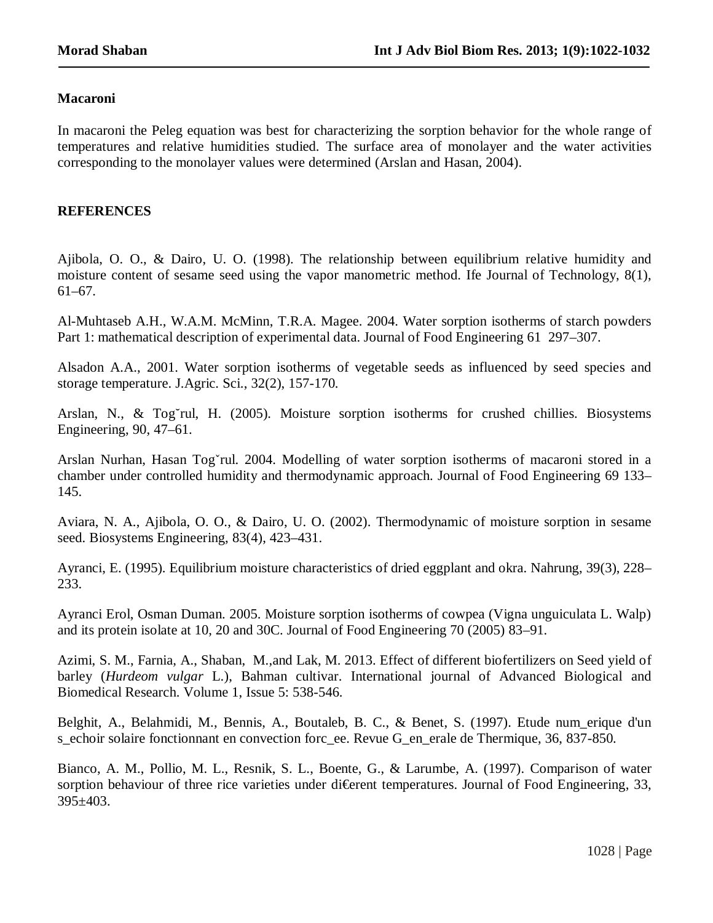#### **Macaroni**

In macaroni the Peleg equation was best for characterizing the sorption behavior for the whole range of temperatures and relative humidities studied. The surface area of monolayer and the water activities corresponding to the monolayer values were determined (Arslan and Hasan, 2004).

#### **REFERENCES**

Ajibola, O. O., & Dairo, U. O. (1998). The relationship between equilibrium relative humidity and moisture content of sesame seed using the vapor manometric method. Ife Journal of Technology, 8(1), 61–67.

Al-Muhtaseb A.H., W.A.M. McMinn, T.R.A. Magee. 2004. Water sorption isotherms of starch powders Part 1: mathematical description of experimental data. Journal of Food Engineering 61 297–307.

Alsadon A.A., 2001. Water sorption isotherms of vegetable seeds as influenced by seed species and storage temperature. J.Agric. Sci., 32(2), 157-170.

Arslan, N., & Tog˘rul, H. (2005). Moisture sorption isotherms for crushed chillies. Biosystems Engineering, 90, 47–61.

Arslan Nurhan, Hasan Togˇrul. 2004. Modelling of water sorption isotherms of macaroni stored in a chamber under controlled humidity and thermodynamic approach. Journal of Food Engineering 69 133– 145.

Aviara, N. A., Ajibola, O. O., & Dairo, U. O. (2002). Thermodynamic of moisture sorption in sesame seed. Biosystems Engineering, 83(4), 423–431.

Ayranci, E. (1995). Equilibrium moisture characteristics of dried eggplant and okra. Nahrung, 39(3), 228– 233.

Ayranci Erol, Osman Duman. 2005. Moisture sorption isotherms of cowpea (Vigna unguiculata L. Walp) and its protein isolate at 10, 20 and 30C. Journal of Food Engineering 70 (2005) 83–91.

Azimi, S. M., Farnia, A., Shaban, M.,and Lak, M. 2013. Effect of different biofertilizers on Seed yield of barley (*Hurdeom vulgar* L.), Bahman cultivar. International journal of Advanced Biological and Biomedical Research. Volume 1, Issue 5: 538-546.

Belghit, A., Belahmidi, M., Bennis, A., Boutaleb, B. C., & Benet, S. (1997). Etude num\_erique d'un s echoir solaire fonctionnant en convection forc ee. Revue G en erale de Thermique, 36, 837-850.

Bianco, A. M., Pollio, M. L., Resnik, S. L., Boente, G., & Larumbe, A. (1997). Comparison of water sorption behaviour of three rice varieties under di $\oplus$  rent temperatures. Journal of Food Engineering, 33, 395±403.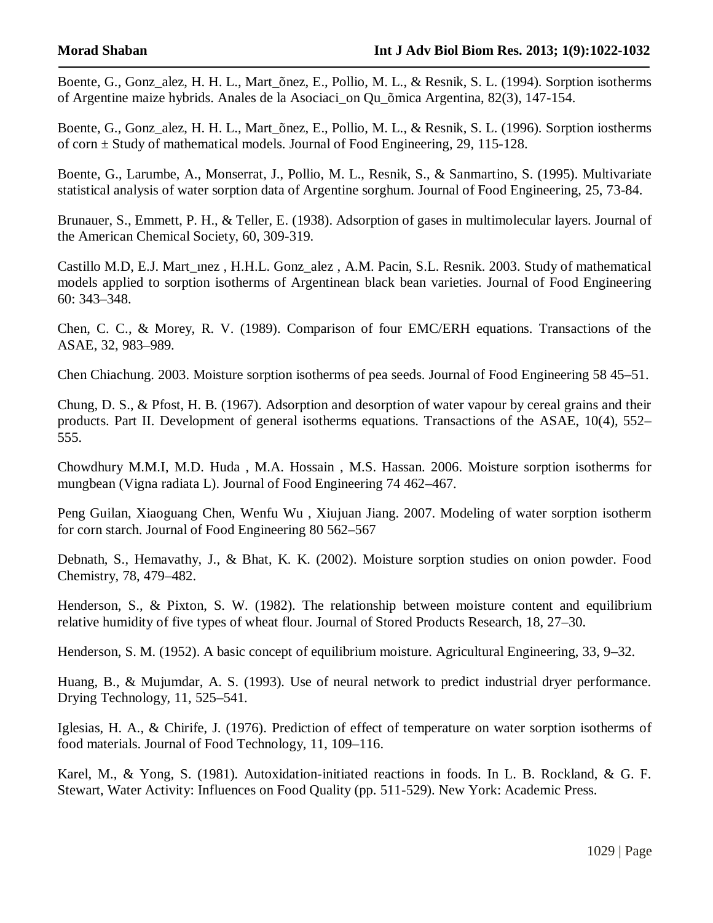Boente, G., Gonz\_alez, H. H. L., Mart\_õnez, E., Pollio, M. L., & Resnik, S. L. (1994). Sorption isotherms of Argentine maize hybrids. Anales de la Asociaci\_on Qu\_õmica Argentina, 82(3), 147-154.

Boente, G., Gonz\_alez, H. H. L., Mart\_õnez, E., Pollio, M. L., & Resnik, S. L. (1996). Sorption iostherms of corn  $\pm$  Study of mathematical models. Journal of Food Engineering, 29, 115-128.

Boente, G., Larumbe, A., Monserrat, J., Pollio, M. L., Resnik, S., & Sanmartino, S. (1995). Multivariate statistical analysis of water sorption data of Argentine sorghum. Journal of Food Engineering, 25, 73-84.

Brunauer, S., Emmett, P. H., & Teller, E. (1938). Adsorption of gases in multimolecular layers. Journal of the American Chemical Society, 60, 309-319.

Castillo M.D, E.J. Mart\_inez , H.H.L. Gonz\_alez , A.M. Pacin, S.L. Resnik. 2003. Study of mathematical models applied to sorption isotherms of Argentinean black bean varieties. Journal of Food Engineering 60: 343–348.

Chen, C. C., & Morey, R. V. (1989). Comparison of four EMC/ERH equations. Transactions of the ASAE, 32, 983–989.

Chen Chiachung. 2003. Moisture sorption isotherms of pea seeds. Journal of Food Engineering 58 45–51.

Chung, D. S., & Pfost, H. B. (1967). Adsorption and desorption of water vapour by cereal grains and their products. Part II. Development of general isotherms equations. Transactions of the ASAE, 10(4), 552– 555.

Chowdhury M.M.I, M.D. Huda , M.A. Hossain , M.S. Hassan. 2006. Moisture sorption isotherms for mungbean (Vigna radiata L). Journal of Food Engineering 74 462–467.

Peng Guilan, Xiaoguang Chen, Wenfu Wu , Xiujuan Jiang. 2007. Modeling of water sorption isotherm for corn starch. Journal of Food Engineering 80 562–567

Debnath, S., Hemavathy, J., & Bhat, K. K. (2002). Moisture sorption studies on onion powder. Food Chemistry, 78, 479–482.

Henderson, S., & Pixton, S. W. (1982). The relationship between moisture content and equilibrium relative humidity of five types of wheat flour. Journal of Stored Products Research, 18, 27–30.

Henderson, S. M. (1952). A basic concept of equilibrium moisture. Agricultural Engineering, 33, 9–32.

Huang, B., & Mujumdar, A. S. (1993). Use of neural network to predict industrial dryer performance. Drying Technology, 11, 525–541.

Iglesias, H. A., & Chirife, J. (1976). Prediction of effect of temperature on water sorption isotherms of food materials. Journal of Food Technology, 11, 109–116.

Karel, M., & Yong, S. (1981). Autoxidation-initiated reactions in foods. In L. B. Rockland, & G. F. Stewart, Water Activity: Influences on Food Quality (pp. 511-529). New York: Academic Press.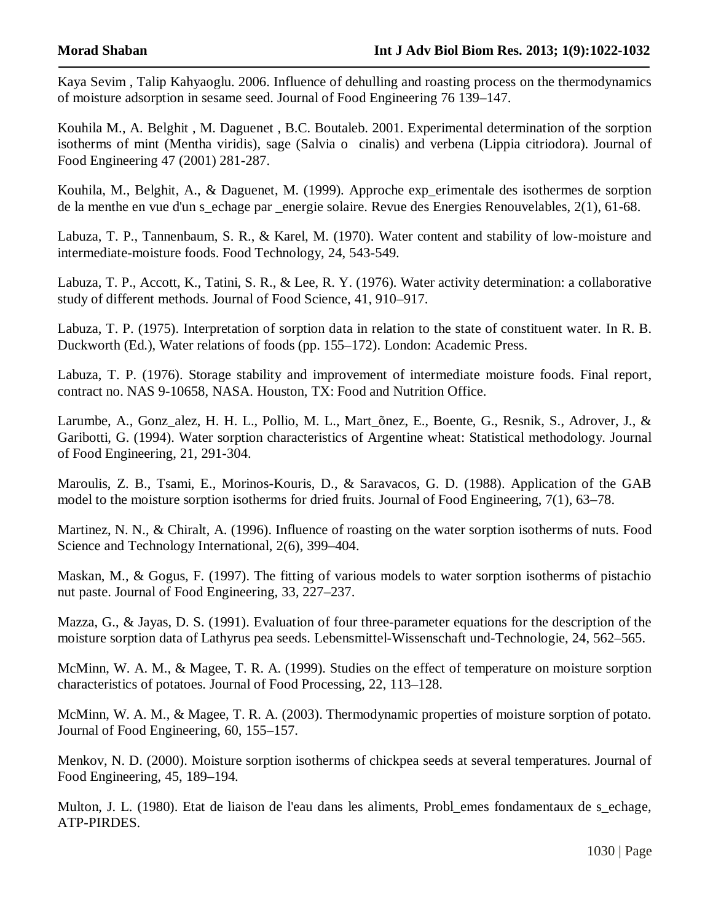Kaya Sevim , Talip Kahyaoglu. 2006. Influence of dehulling and roasting process on the thermodynamics of moisture adsorption in sesame seed. Journal of Food Engineering 76 139–147.

Kouhila M., A. Belghit , M. Daguenet , B.C. Boutaleb. 2001. Experimental determination of the sorption isotherms of mint (Mentha viridis), sage (Salvia o cinalis) and verbena (Lippia citriodora). Journal of Food Engineering 47 (2001) 281-287.

Kouhila, M., Belghit, A., & Daguenet, M. (1999). Approche exp\_erimentale des isothermes de sorption de la menthe en vue d'un s\_echage par \_energie solaire. Revue des Energies Renouvelables, 2(1), 61-68.

Labuza, T. P., Tannenbaum, S. R., & Karel, M. (1970). Water content and stability of low-moisture and intermediate-moisture foods. Food Technology, 24, 543-549.

Labuza, T. P., Accott, K., Tatini, S. R., & Lee, R. Y. (1976). Water activity determination: a collaborative study of different methods. Journal of Food Science, 41, 910–917.

Labuza, T. P. (1975). Interpretation of sorption data in relation to the state of constituent water. In R. B. Duckworth (Ed.), Water relations of foods (pp. 155–172). London: Academic Press.

Labuza, T. P. (1976). Storage stability and improvement of intermediate moisture foods. Final report, contract no. NAS 9-10658, NASA. Houston, TX: Food and Nutrition Office.

Larumbe, A., Gonz\_alez, H. H. L., Pollio, M. L., Mart\_õnez, E., Boente, G., Resnik, S., Adrover, J., & Garibotti, G. (1994). Water sorption characteristics of Argentine wheat: Statistical methodology. Journal of Food Engineering, 21, 291-304.

Maroulis, Z. B., Tsami, E., Morinos-Kouris, D., & Saravacos, G. D. (1988). Application of the GAB model to the moisture sorption isotherms for dried fruits. Journal of Food Engineering, 7(1), 63–78.

Martinez, N. N., & Chiralt, A. (1996). Influence of roasting on the water sorption isotherms of nuts. Food Science and Technology International, 2(6), 399–404.

Maskan, M., & Gogus, F. (1997). The fitting of various models to water sorption isotherms of pistachio nut paste. Journal of Food Engineering, 33, 227–237.

Mazza, G., & Jayas, D. S. (1991). Evaluation of four three-parameter equations for the description of the moisture sorption data of Lathyrus pea seeds. Lebensmittel-Wissenschaft und-Technologie, 24, 562–565.

McMinn, W. A. M., & Magee, T. R. A. (1999). Studies on the effect of temperature on moisture sorption characteristics of potatoes. Journal of Food Processing, 22, 113–128.

McMinn, W. A. M., & Magee, T. R. A. (2003). Thermodynamic properties of moisture sorption of potato. Journal of Food Engineering, 60, 155–157.

Menkov, N. D. (2000). Moisture sorption isotherms of chickpea seeds at several temperatures. Journal of Food Engineering, 45, 189–194.

Multon, J. L. (1980). Etat de liaison de l'eau dans les aliments, Probl\_emes fondamentaux de s\_echage, ATP-PIRDES.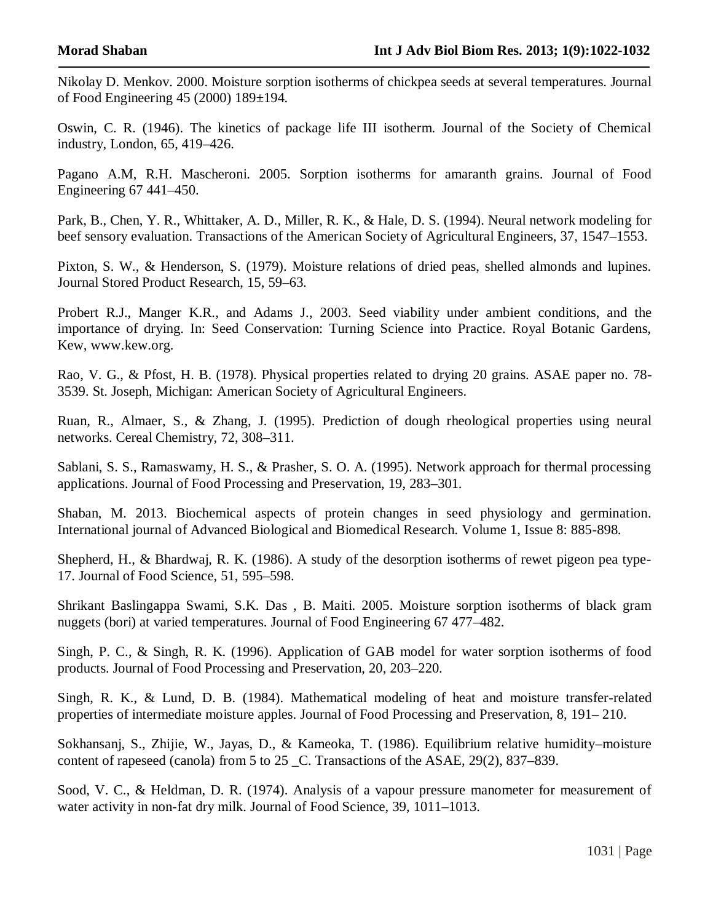Nikolay D. Menkov. 2000. Moisture sorption isotherms of chickpea seeds at several temperatures. Journal of Food Engineering 45 (2000) 189±194.

Oswin, C. R. (1946). The kinetics of package life III isotherm. Journal of the Society of Chemical industry, London, 65, 419–426.

Pagano A.M, R.H. Mascheroni. 2005. Sorption isotherms for amaranth grains. Journal of Food Engineering 67 441–450.

Park, B., Chen, Y. R., Whittaker, A. D., Miller, R. K., & Hale, D. S. (1994). Neural network modeling for beef sensory evaluation. Transactions of the American Society of Agricultural Engineers, 37, 1547–1553.

Pixton, S. W., & Henderson, S. (1979). Moisture relations of dried peas, shelled almonds and lupines. Journal Stored Product Research, 15, 59–63.

Probert R.J., Manger K.R., and Adams J., 2003. Seed viability under ambient conditions, and the importance of drying. In: Seed Conservation: Turning Science into Practice. Royal Botanic Gardens, Kew, www.kew.org.

Rao, V. G., & Pfost, H. B. (1978). Physical properties related to drying 20 grains. ASAE paper no. 78- 3539. St. Joseph, Michigan: American Society of Agricultural Engineers.

Ruan, R., Almaer, S., & Zhang, J. (1995). Prediction of dough rheological properties using neural networks. Cereal Chemistry, 72, 308–311.

Sablani, S. S., Ramaswamy, H. S., & Prasher, S. O. A. (1995). Network approach for thermal processing applications. Journal of Food Processing and Preservation, 19, 283–301.

Shaban, M. 2013. Biochemical aspects of protein changes in seed physiology and germination. International journal of Advanced Biological and Biomedical Research. Volume 1, Issue 8: 885-898.

Shepherd, H., & Bhardwaj, R. K. (1986). A study of the desorption isotherms of rewet pigeon pea type-17. Journal of Food Science, 51, 595–598.

Shrikant Baslingappa Swami, S.K. Das , B. Maiti. 2005. Moisture sorption isotherms of black gram nuggets (bori) at varied temperatures. Journal of Food Engineering 67 477–482.

Singh, P. C., & Singh, R. K. (1996). Application of GAB model for water sorption isotherms of food products. Journal of Food Processing and Preservation, 20, 203–220.

Singh, R. K., & Lund, D. B. (1984). Mathematical modeling of heat and moisture transfer-related properties of intermediate moisture apples. Journal of Food Processing and Preservation, 8, 191– 210.

Sokhansanj, S., Zhijie, W., Jayas, D., & Kameoka, T. (1986). Equilibrium relative humidity–moisture content of rapeseed (canola) from 5 to 25 \_C. Transactions of the ASAE, 29(2), 837–839.

Sood, V. C., & Heldman, D. R. (1974). Analysis of a vapour pressure manometer for measurement of water activity in non-fat dry milk. Journal of Food Science, 39, 1011–1013.